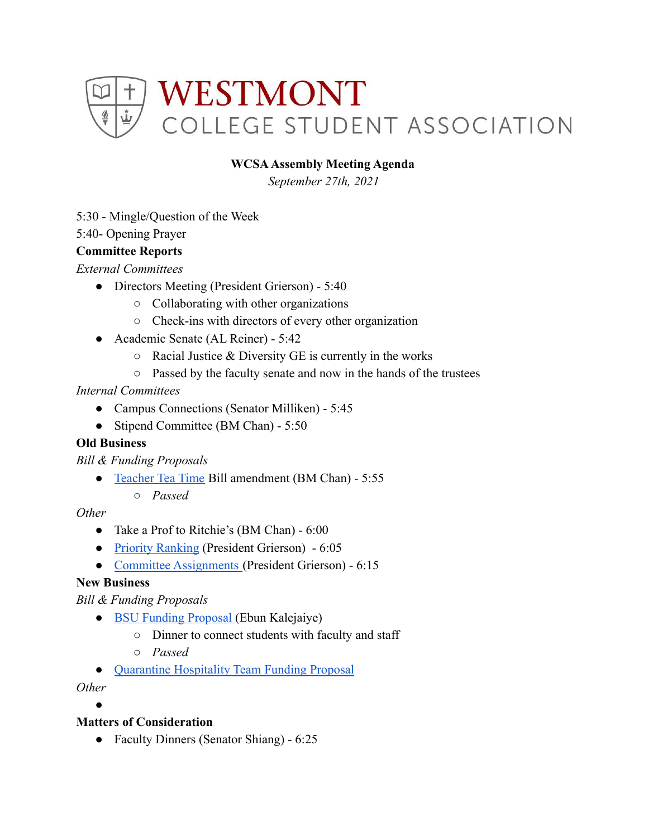

## **WCSAAssembly Meeting Agenda**

*September 27th, 2021*

5:30 - Mingle/Question of the Week

5:40- Opening Prayer

### **Committee Reports**

*External Committees*

- Directors Meeting (President Grierson) 5:40
	- Collaborating with other organizations
	- Check-ins with directors of every other organization
- Academic Senate (AL Reiner) 5:42
	- $\circ$  Racial Justice & Diversity GE is currently in the works
	- Passed by the faculty senate and now in the hands of the trustees

### *Internal Committees*

- Campus Connections (Senator Milliken) 5:45
- Stipend Committee (BM Chan) 5:50

#### **Old Business**

*Bill & Funding Proposals*

- [Teacher Tea Time](https://docs.google.com/document/d/1EVoOXD4UprA1YEoMeEJq9tr4axoWer9vcjJyd8ItC08/edit) Bill amendment (BM Chan) 5:55
	- *○ Passed*

### *Other*

- Take a Prof to Ritchie's (BM Chan) 6:00
- [Priority Ranking](https://docs.google.com/forms/d/1QyGoHV1StIOShrATTqGWn6aqu9W4fZ_58e2TsaUqA08/edit?ts=614f4ea7#response=ACYDBNh5NaWf5axV6UJ7wMmP4ym2ab2Hfn4pJ_scxFoDiQBUx0EavQLFsrMXAlnRyw) (President Grierson) 6:05
- [Committee Assignments](https://docs.google.com/document/d/1mGz76WAJf_KzWencdjogiDQc0xRzem-xzy__J7v_-jQ/edit) (President Grierson) 6:15

# **New Business**

*Bill & Funding Proposals*

- [BSU Funding Proposal](https://drive.google.com/drive/u/0/folders/1lpBa9euwGHKuq9cLARjDbQxYBe7GiNRT) (Ebun Kalejaiye)
	- Dinner to connect students with faculty and staff
	- *○ Passed*
- [Quarantine Hospitality Team Funding Proposal](https://drive.google.com/drive/u/0/folders/1lpBa9euwGHKuq9cLARjDbQxYBe7GiNRT)

#### *Other*

●

# **Matters of Consideration**

• Faculty Dinners (Senator Shiang) - 6:25